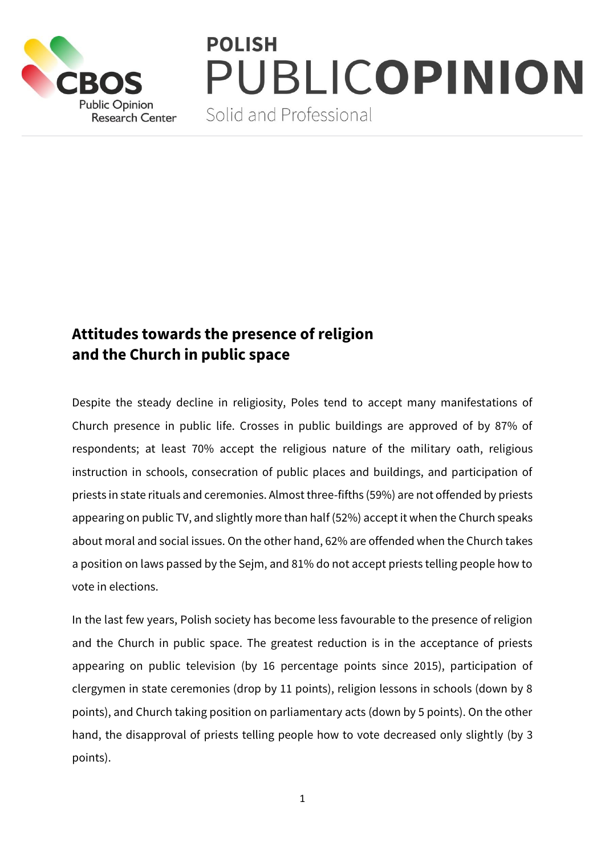

## **POLISH** PUBLICOPINION

Solid and Professional

## **Attitudes towards the presence of religion and the Church in public space**

Despite the steady decline in religiosity, Poles tend to accept many manifestations of Church presence in public life. Crosses in public buildings are approved of by 87% of respondents; at least 70% accept the religious nature of the military oath, religious instruction in schools, consecration of public places and buildings, and participation of priests in state rituals and ceremonies. Almost three-fifths (59%) are not offended by priests appearing on public TV, and slightly more than half (52%) accept it when the Church speaks about moral and social issues. On the other hand, 62% are offended when the Church takes a position on laws passed by the Sejm, and 81% do not accept priests telling people how to vote in elections.

In the last few years, Polish society has become less favourable to the presence of religion and the Church in public space. The greatest reduction is in the acceptance of priests appearing on public television (by 16 percentage points since 2015), participation of clergymen in state ceremonies (drop by 11 points), religion lessons in schools (down by 8 points), and Church taking position on parliamentary acts (down by 5 points). On the other hand, the disapproval of priests telling people how to vote decreased only slightly (by 3 points).

1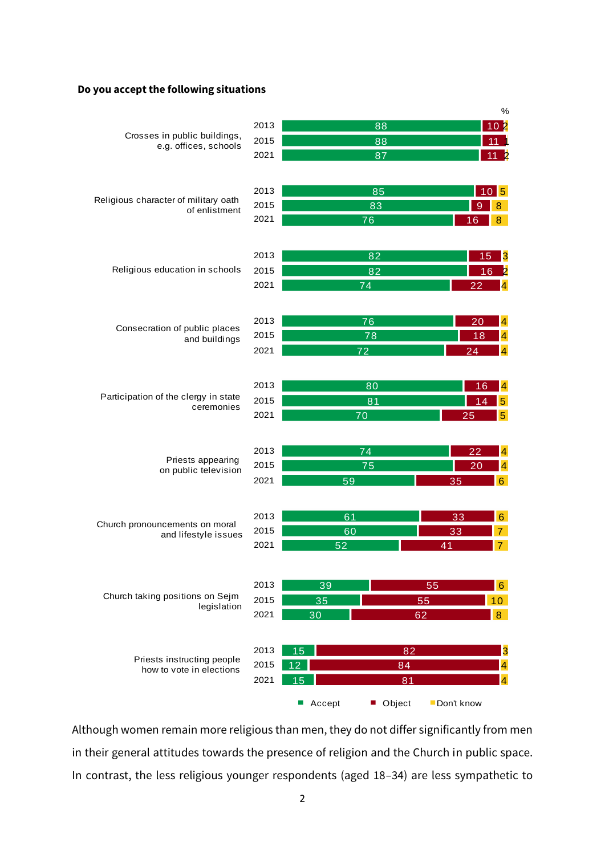## **Do you accept the following situations**

|                                                        |              |                            | $\%$                          |
|--------------------------------------------------------|--------------|----------------------------|-------------------------------|
| Crosses in public buildings,<br>e.g. offices, schools  | 2013         | 88                         | 0 <sup>b</sup><br>1           |
|                                                        | 2015         | 88                         |                               |
|                                                        | 2021         | 87                         | 11                            |
|                                                        |              |                            |                               |
| Religious character of military oath<br>of enlistment  | 2013         |                            |                               |
|                                                        |              | 85                         | $10\overline{5}$              |
|                                                        | 2015<br>2021 | 83                         | 8<br>9                        |
|                                                        |              | 76                         | 8<br>16                       |
| Religious education in schools                         |              |                            |                               |
|                                                        | 2013         | 82                         | 15<br>3                       |
|                                                        | 2015         | 82                         | 16                            |
|                                                        | 2021         | 74                         | 4<br>22                       |
| Consecration of public places<br>and buildings         |              |                            |                               |
|                                                        | 2013         | 76                         | 4<br>20                       |
|                                                        | 2015         | 78                         | $\overline{\mathbf{4}}$<br>18 |
|                                                        | 2021         | 72                         | $\overline{4}$<br>24          |
| Participation of the clergy in state<br>ceremonies     | 2013         |                            |                               |
|                                                        |              | 80                         | $\overline{\mathbf{4}}$<br>16 |
|                                                        | 2015         | 81                         | $\overline{5}$<br>14          |
|                                                        | 2021         | 70                         | 5 <sup>5</sup><br>25          |
| Priests appearing<br>on public television              | 2013         | 74                         | 22<br>4                       |
|                                                        | 2015         | 75                         | 20<br>$\overline{\mathbf{4}}$ |
|                                                        | 2021         | 59                         | 6 <sup>1</sup><br>35          |
|                                                        |              |                            |                               |
| Church pronouncements on moral<br>and lifestyle issues | 2013         | 61                         | 6 <sup>1</sup><br>33          |
|                                                        | 2015         | 60                         | $\overline{7}$<br>33          |
|                                                        | 2021         | 52                         | $\overline{7}$<br>41          |
|                                                        |              |                            |                               |
| Church taking positions on Sejm<br>legislation         | 2013         | 39                         | 55<br>6 <sup>1</sup>          |
|                                                        | 2015         | 35                         | 55<br>10 <sup>°</sup>         |
|                                                        | 2021         | 30                         | 8<br>62                       |
|                                                        |              |                            |                               |
| Priests instructing people<br>how to vote in elections | 2013         | 15<br>82                   | 3                             |
|                                                        | 2015         | 84<br>12                   | 4                             |
|                                                        | 2021         | 15<br>81                   | 4                             |
|                                                        |              | Object<br>$\Box$<br>Accept | Don't know                    |

Although women remain more religious than men, they do not differ significantly from men in their general attitudes towards the presence of religion and the Church in public space. In contrast, the less religious younger respondents (aged 18–34) are less sympathetic to